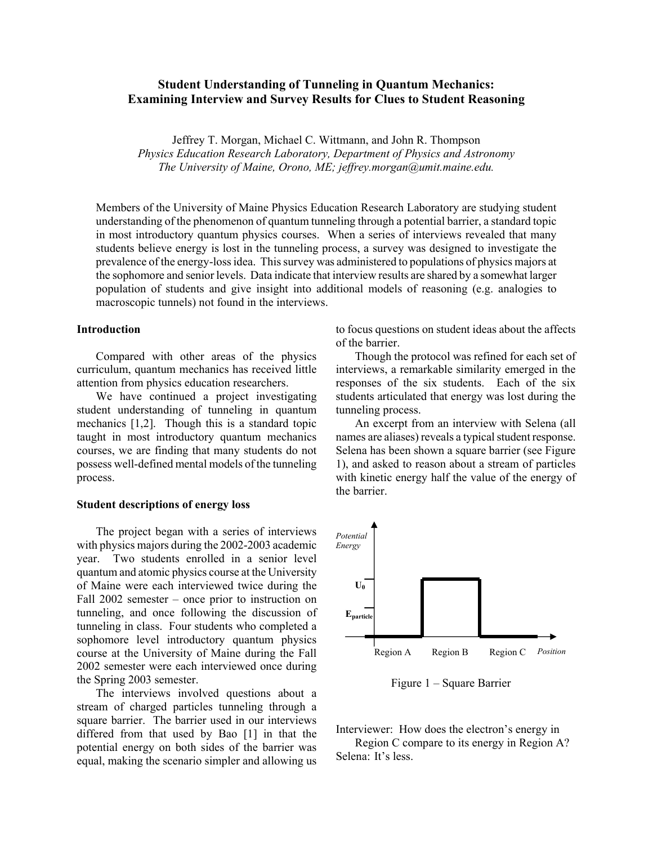# **Student Understanding of Tunneling in Quantum Mechanics: Examining Interview and Survey Results for Clues to Student Reasoning**

Jeffrey T. Morgan, Michael C. Wittmann, and John R. Thompson *Physics Education Research Laboratory, Department of Physics and Astronomy The University of Maine, Orono, ME; jeffrey.morgan@umit.maine.edu.* 

Members of the University of Maine Physics Education Research Laboratory are studying student understanding of the phenomenon of quantum tunneling through a potential barrier, a standard topic in most introductory quantum physics courses. When a series of interviews revealed that many students believe energy is lost in the tunneling process, a survey was designed to investigate the prevalence of the energy-loss idea. This survey was administered to populations of physics majors at the sophomore and senior levels. Data indicate that interview results are shared by a somewhat larger population of students and give insight into additional models of reasoning (e.g. analogies to macroscopic tunnels) not found in the interviews.

## **Introduction**

Compared with other areas of the physics curriculum, quantum mechanics has received little attention from physics education researchers.

We have continued a project investigating student understanding of tunneling in quantum mechanics [1,2]. Though this is a standard topic taught in most introductory quantum mechanics courses, we are finding that many students do not possess well-defined mental models of the tunneling process.

### **Student descriptions of energy loss**

The project began with a series of interviews with physics majors during the 2002-2003 academic year. Two students enrolled in a senior level quantum and atomic physics course at the University of Maine were each interviewed twice during the Fall 2002 semester – once prior to instruction on tunneling, and once following the discussion of tunneling in class. Four students who completed a sophomore level introductory quantum physics course at the University of Maine during the Fall 2002 semester were each interviewed once during the Spring 2003 semester.

The interviews involved questions about a stream of charged particles tunneling through a square barrier. The barrier used in our interviews differed from that used by Bao [1] in that the potential energy on both sides of the barrier was equal, making the scenario simpler and allowing us

to focus questions on student ideas about the affects of the barrier.

Though the protocol was refined for each set of interviews, a remarkable similarity emerged in the responses of the six students. Each of the six students articulated that energy was lost during the tunneling process.

An excerpt from an interview with Selena (all names are aliases) reveals a typical student response. Selena has been shown a square barrier (see Figure 1), and asked to reason about a stream of particles with kinetic energy half the value of the energy of the barrier.



Figure 1 – Square Barrier

Interviewer: How does the electron's energy in

Region C compare to its energy in Region A? Selena: It's less.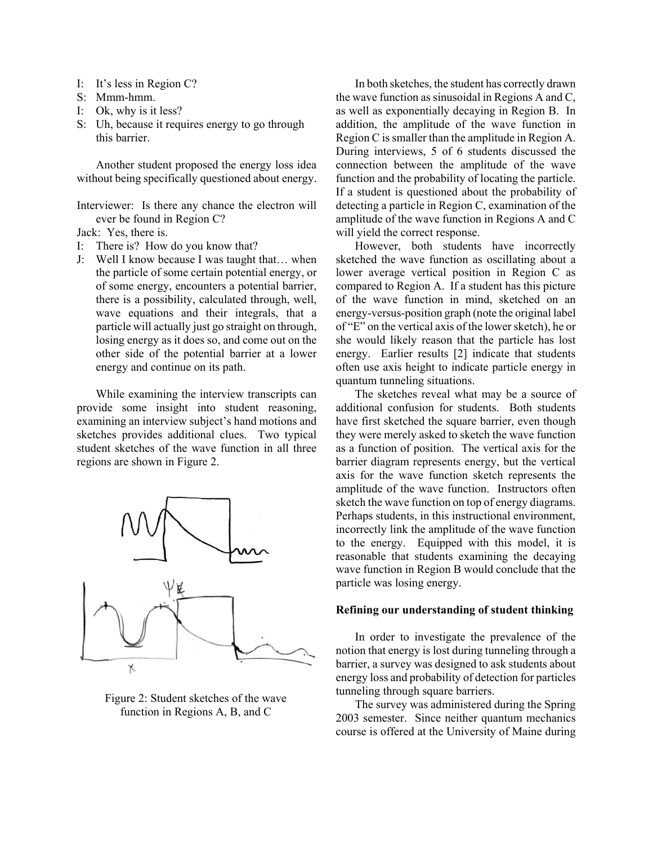- I: It's less in Region C?
- S: Mmm-hmm.
- I: Ok, why is it less?
- S: Uh, because it requires energy to go through this barrier.

Another student proposed the energy loss idea without being specifically questioned about energy.

Interviewer: Is there any chance the electron will ever be found in Region C?

Jack: Yes, there is.

- I: There is? How do you know that?
- J: Well I know because I was taught that… when the particle of some certain potential energy, or of some energy, encounters a potential barrier, there is a possibility, calculated through, well, wave equations and their integrals, that a particle will actually just go straight on through, losing energy as it does so, and come out on the other side of the potential barrier at a lower energy and continue on its path.

While examining the interview transcripts can provide some insight into student reasoning, examining an interview subject's hand motions and sketches provides additional clues. Two typical student sketches of the wave function in all three regions are shown in Figure 2.



Figure 2: Student sketches of the wave function in Regions A, B, and C

In both sketches, the student has correctly drawn the wave function as sinusoidal in Regions A and C, as well as exponentially decaying in Region B. In addition, the amplitude of the wave function in Region C is smaller than the amplitude in Region A. During interviews, 5 of 6 students discussed the connection between the amplitude of the wave function and the probability of locating the particle. If a student is questioned about the probability of detecting a particle in Region C, examination of the amplitude of the wave function in Regions A and C will yield the correct response.

However, both students have incorrectly sketched the wave function as oscillating about a lower average vertical position in Region C as compared to Region A. If a student has this picture of the wave function in mind, sketched on an energy-versus-position graph (note the original label of "E" on the vertical axis of the lower sketch), he or she would likely reason that the particle has lost energy. Earlier results [2] indicate that students often use axis height to indicate particle energy in quantum tunneling situations.

The sketches reveal what may be a source of additional confusion for students. Both students have first sketched the square barrier, even though they were merely asked to sketch the wave function as a function of position. The vertical axis for the barrier diagram represents energy, but the vertical axis for the wave function sketch represents the amplitude of the wave function. Instructors often sketch the wave function on top of energy diagrams. Perhaps students, in this instructional environment, incorrectly link the amplitude of the wave function to the energy. Equipped with this model, it is reasonable that students examining the decaying wave function in Region B would conclude that the particle was losing energy.

# **Refining our understanding of student thinking**

In order to investigate the prevalence of the notion that energy is lost during tunneling through a barrier, a survey was designed to ask students about energy loss and probability of detection for particles tunneling through square barriers.

The survey was administered during the Spring 2003 semester. Since neither quantum mechanics course is offered at the University of Maine during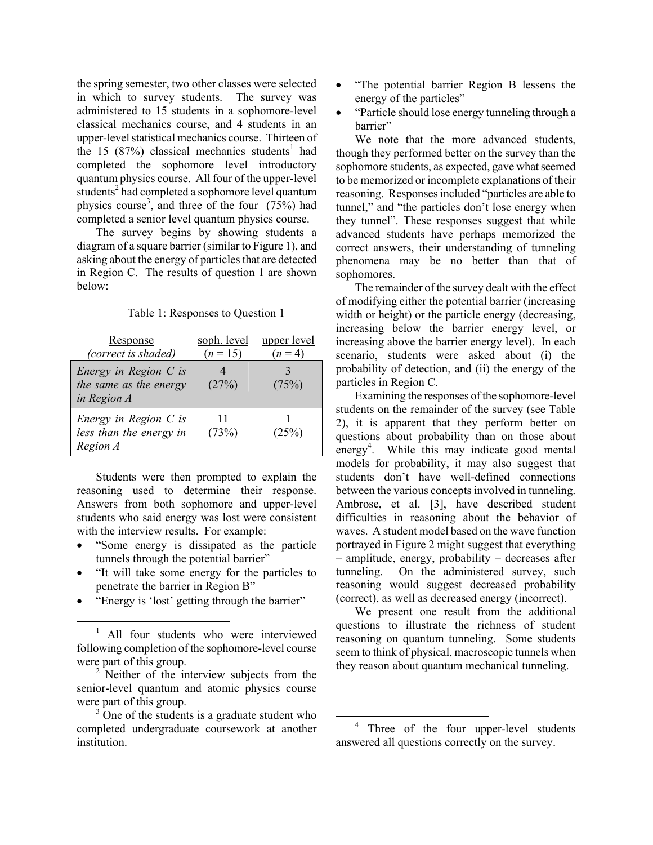the spring semester, two other classes were selected in which to survey students. The survey was administered to 15 students in a sophomore-level classical mechanics course, and 4 students in an upper-level statistical mechanics course. Thirteen of the 15 (87%) classical mechanics students<sup>1</sup> had completed the sophomore level introductory quantum physics course. All four of the upper-level students<sup>2</sup> had completed a sophomore level quantum physics course<sup>3</sup>, and three of the four  $(75%)$  had completed a senior level quantum physics course.

The survey begins by showing students a diagram of a square barrier (similar to Figure 1), and asking about the energy of particles that are detected in Region C. The results of question 1 are shown below:

#### Table 1: Responses to Question 1

| Response<br>(correct is shaded)                                  | soph. level<br>$(n = 15)$ | upper level<br>$(n=4)$ |
|------------------------------------------------------------------|---------------------------|------------------------|
| Energy in Region $C$ is<br>the same as the energy<br>in Region A | (27%)                     | (75%)                  |
| Energy in Region $C$ is<br>less than the energy in<br>Region A   | 11<br>(73%)               | (25%)                  |

Students were then prompted to explain the reasoning used to determine their response. Answers from both sophomore and upper-level students who said energy was lost were consistent with the interview results. For example:

- "Some energy is dissipated as the particle tunnels through the potential barrier"
- "It will take some energy for the particles to penetrate the barrier in Region B"
- "Energy is 'lost' getting through the barrier"
- "The potential barrier Region B lessens the energy of the particles"
- "Particle should lose energy tunneling through a barrier"

We note that the more advanced students, though they performed better on the survey than the sophomore students, as expected, gave what seemed to be memorized or incomplete explanations of their reasoning. Responses included "particles are able to tunnel," and "the particles don't lose energy when they tunnel". These responses suggest that while advanced students have perhaps memorized the correct answers, their understanding of tunneling phenomena may be no better than that of sophomores.

The remainder of the survey dealt with the effect of modifying either the potential barrier (increasing width or height) or the particle energy (decreasing, increasing below the barrier energy level, or increasing above the barrier energy level). In each scenario, students were asked about (i) the probability of detection, and (ii) the energy of the particles in Region C.

Examining the responses of the sophomore-level students on the remainder of the survey (see Table 2), it is apparent that they perform better on questions about probability than on those about energy<sup>4</sup>. While this may indicate good mental models for probability, it may also suggest that students don't have well-defined connections between the various concepts involved in tunneling. Ambrose, et al. [3], have described student difficulties in reasoning about the behavior of waves. A student model based on the wave function portrayed in Figure 2 might suggest that everything – amplitude, energy, probability – decreases after tunneling. On the administered survey, such reasoning would suggest decreased probability (correct), as well as decreased energy (incorrect).

We present one result from the additional questions to illustrate the richness of student reasoning on quantum tunneling. Some students seem to think of physical, macroscopic tunnels when they reason about quantum mechanical tunneling.

 $\frac{1}{1}$ <sup>1</sup> All four students who were interviewed following completion of the sophomore-level course were part of this group.

<sup>&</sup>lt;sup>2</sup> Neither of the interview subjects from the senior-level quantum and atomic physics course were part of this group.

<sup>&</sup>lt;sup>3</sup> One of the students is a graduate student who completed undergraduate coursework at another institution.

 <sup>4</sup> Three of the four upper-level students answered all questions correctly on the survey.